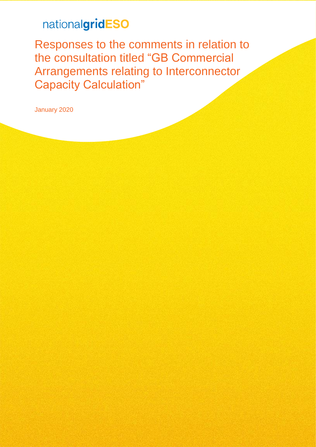# nationalgridESO

Responses to the comments in relation to the consultation titled "GB Commercial Arrangements relating to Interconnector Capacity Calculation"

January 2020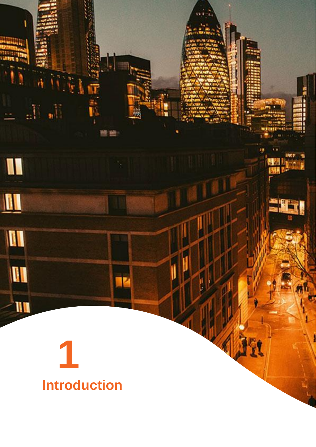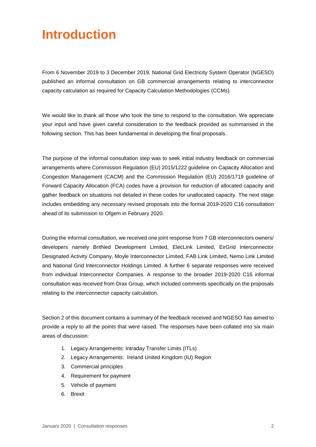# **Introduction**

From 6 November 2019 to 3 December 2019, National Grid Electricity System Operator (NGESO) published an informal [consultation](https://www.nationalgrideso.com/document/156036/download) on GB commercial arrangements relating to interconnector capacity calculation as required for Capacity Calculation Methodologies (CCMs).

We would like to thank all those who took the time to respond to the consultation. We appreciate your input and have given careful consideration to the feedback provided as summarised in the following section. This has been fundamental in developing the final proposals.

The purpose of the informal consultation step was to seek initial industry feedback on commercial arrangements where Commission Regulation (EU) 2015/1222 guideline on Capacity Allocation and Congestion Management (CACM) and the Commission Regulation (EU) 2016/1719 guideline of Forward Capacity Allocation (FCA) codes have a provision for reduction of allocated capacity and gather feedback on situations not detailed in these codes for unallocated capacity. The next stage includes embedding any necessary revised proposals into the formal 2019-2020 C16 consultation ahead of its submission to Ofgem in February 2020.

During the informal consultation, we received one joint response from 7 GB interconnectors owners/ developers namely BritNed Development Limited, ElecLink Limited, EirGrid Interconnector Designated Activity Company, Moyle Interconnector Limited, FAB Link Limited, Nemo Link Limited and National Grid Interconnector Holdings Limited. A further 6 separate responses were received from individual Interconnector Companies. A response to the broader 2019-2020 C16 informal consultation was received from Drax Group, which included comments specifically on the proposals relating to the interconnector capacity calculation.

Section 2 of this document contains a summary of the feedback received and NGESO has aimed to provide a reply to all the points that were raised. The responses have been collated into six main areas of discussion:

- 1. Legacy Arrangements: Intraday Transfer Limits (ITLs)
- 2. Legacy Arrangements: Ireland United Kingdom (IU) Region
- 3. Commercial principles
- 4. Requirement for payment
- 5. Vehicle of payment
- 6. Brexit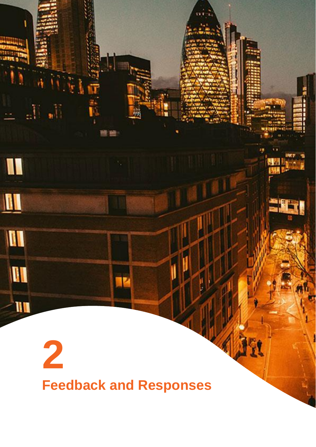# **2 Feedback and Responses**

Ľ

**Wilm** 

 $\mathbb{H}^{\mathbb{N}}$ 

I

 $\blacksquare$ 

M

**M** 

I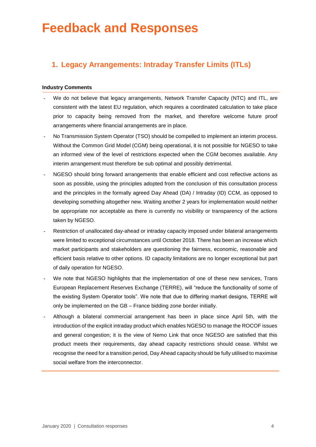# **Feedback and Responses**

# **1. Legacy Arrangements: Intraday Transfer Limits (ITLs)**

#### **Industry Comments**

- We do not believe that legacy arrangements, Network Transfer Capacity (NTC) and ITL, are consistent with the latest EU regulation, which requires a coordinated calculation to take place prior to capacity being removed from the market, and therefore welcome future proof arrangements where financial arrangements are in place.
- No Transmission System Operator (TSO) should be compelled to implement an interim process. Without the Common Grid Model (CGM) being operational, it is not possible for NGESO to take an informed view of the level of restrictions expected when the CGM becomes available. Any interim arrangement must therefore be sub optimal and possibly detrimental.
- NGESO should bring forward arrangements that enable efficient and cost reflective actions as soon as possible, using the principles adopted from the conclusion of this consultation process and the principles in the formally agreed Day Ahead (DA) / Intraday (ID) CCM, as opposed to developing something altogether new. Waiting another 2 years for implementation would neither be appropriate nor acceptable as there is currently no visibility or transparency of the actions taken by NGESO.
- Restriction of unallocated day-ahead or intraday capacity imposed under bilateral arrangements were limited to exceptional circumstances until October 2018. There has been an increase which market participants and stakeholders are questioning the fairness, economic, reasonable and efficient basis relative to other options. ID capacity limitations are no longer exceptional but part of daily operation for NGESO.
- We note that NGESO highlights that the implementation of one of these new services, Trans European Replacement Reserves Exchange (TERRE), will "reduce the functionality of some of the existing System Operator tools". We note that due to differing market designs, TERRE will only be implemented on the GB – France bidding zone border initially.
- Although a bilateral commercial arrangement has been in place since April 5th, with the introduction of the explicit intraday product which enables NGESO to manage the ROCOF issues and general congestion; it is the view of Nemo Link that once NGESO are satisfied that this product meets their requirements, day ahead capacity restrictions should cease. Whilst we recognise the need for a transition period, Day Ahead capacity should be fully utilised to maximise social welfare from the interconnector.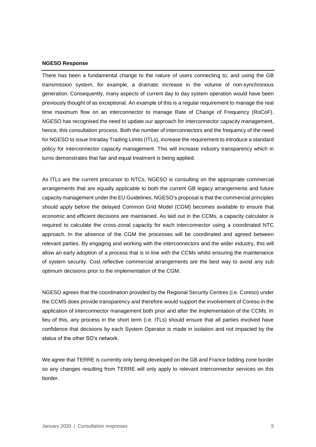#### **NGESO Response**

There has been a fundamental change to the nature of users connecting to, and using the GB transmission system, for example, a dramatic increase in the volume of non-synchronous generation. Consequently, many aspects of current day to day system operation would have been previously thought of as exceptional. An example of this is a regular requirement to manage the real time maximum flow on an interconnector to manage Rate of Change of Frequency (RoCoF). NGESO has recognised the need to update our approach for interconnector capacity management, hence, this consultation process. Both the number of interconnectors and the frequency of the need for NGESO to issue Intraday Trading Limits (ITLs), increase the requirement to introduce a standard policy for interconnector capacity management. This will increase industry transparency which in turns demonstrates that fair and equal treatment is being applied.

As ITLs are the current precursor to NTCs, NGESO is consulting on the appropriate commercial arrangements that are equally applicable to both the current GB legacy arrangements and future capacity management under the EU Guidelines. NGESO's proposal is that the commercial principles should apply before the delayed Common Grid Model (CGM) becomes available to ensure that economic and efficient decisions are maintained. As laid out in the CCMs, a capacity calculator is required to calculate the cross-zonal capacity for each interconnector using a coordinated NTC approach. In the absence of the CGM the processes will be coordinated and agreed between relevant parties. By engaging and working with the interconnectors and the wider industry, this will allow an early adoption of a process that is in line with the CCMs whilst ensuring the maintenance of system security. Cost reflective commercial arrangements are the best way to avoid any sub optimum decisions prior to the implementation of the CGM.

NGESO agrees that the coordination provided by the Regional Security Centres (i.e. Coreso) under the CCMS does provide transparency and therefore would support the involvement of Coreso in the application of interconnector management both prior and after the implementation of the CCMs. In lieu of this, any process in the short term (i.e. ITLs) should ensure that all parties involved have confidence that decisions by each System Operator is made in isolation and not impacted by the status of the other SO's network.

We agree that TERRE is currently only being developed on the GB and France bidding zone border so any changes resulting from TERRE will only apply to relevant interconnector services on this border.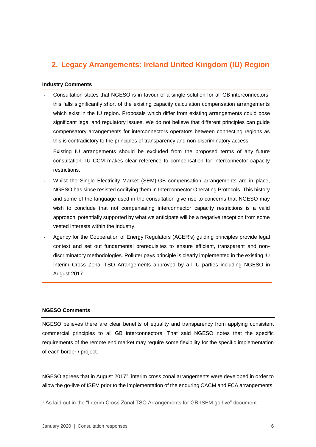# **2. Legacy Arrangements: Ireland United Kingdom (IU) Region**

#### **Industry Comments**

- Consultation states that NGESO is in favour of a single solution for all GB interconnectors, this falls significantly short of the existing capacity calculation compensation arrangements which exist in the IU region. Proposals which differ from existing arrangements could pose significant legal and regulatory issues. We do not believe that different principles can guide compensatory arrangements for interconnectors operators between connecting regions as this is contradictory to the principles of transparency and non-discriminatory access.
- Existing IU arrangements should be excluded from the proposed terms of any future consultation. IU CCM makes clear reference to compensation for interconnector capacity restrictions.
- Whilst the Single Electricity Market (SEM)-GB compensation arrangements are in place, NGESO has since resisted codifying them in Interconnector Operating Protocols. This history and some of the language used in the consultation give rise to concerns that NGESO may wish to conclude that not compensating interconnector capacity restrictions is a valid approach, potentially supported by what we anticipate will be a negative reception from some vested interests within the industry.
- Agency for the Cooperation of Energy Regulators (ACER's) guiding principles provide legal context and set out fundamental prerequisites to ensure efficient, transparent and nondiscriminatory methodologies. Polluter pays principle is clearly implemented in the existing IU Interim Cross Zonal TSO Arrangements approved by all IU parties including NGESO in August 2017.

#### **NGESO Comments**

 $\overline{a}$ 

NGESO believes there are clear benefits of equality and transparency from applying consistent commercial principles to all GB interconnectors. That said NGESO notes that the specific requirements of the remote end market may require some flexibility for the specific implementation of each border / project.

NGESO agrees that in August 2017<sup>1</sup>, interim cross zonal arrangements were developed in order to allow the go-live of ISEM prior to the implementation of the enduring CACM and FCA arrangements.

<sup>1</sup> As laid out in the "Interim Cross Zonal TSO Arrangements for GB-ISEM go-live" document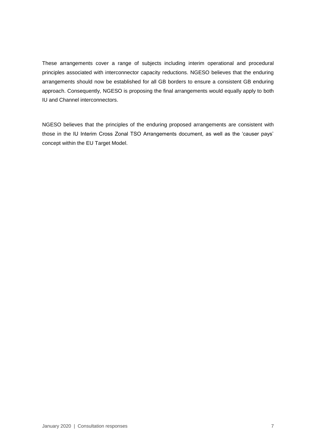These arrangements cover a range of subjects including interim operational and procedural principles associated with interconnector capacity reductions. NGESO believes that the enduring arrangements should now be established for all GB borders to ensure a consistent GB enduring approach. Consequently, NGESO is proposing the final arrangements would equally apply to both IU and Channel interconnectors.

NGESO believes that the principles of the enduring proposed arrangements are consistent with those in the IU Interim Cross Zonal TSO Arrangements document, as well as the 'causer pays' concept within the EU Target Model.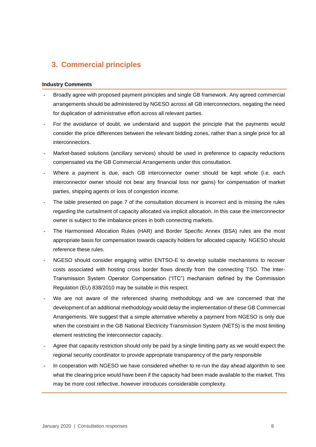## **3. Commercial principles**

#### **Industry Comments**

- Broadly agree with proposed payment principles and single GB framework. Any agreed commercial arrangements should be administered by NGESO across all GB interconnectors, negating the need for duplication of administrative effort across all relevant parties.
- For the avoidance of doubt, we understand and support the principle that the payments would consider the price differences between the relevant bidding zones, rather than a single price for all interconnectors.
- Market-based solutions (ancillary services) should be used in preference to capacity reductions compensated via the GB Commercial Arrangements under this consultation.
- Where a payment is due, each GB interconnector owner should be kept whole (i.e. each interconnector owner should not bear any financial loss nor gains) for compensation of market parties, shipping agents or loss of congestion income.
- The table presented on page 7 of the consultation document is incorrect and is missing the rules regarding the curtailment of capacity allocated via implicit allocation. In this case the interconnector owner is subject to the imbalance prices in both connecting markets.
- The Harmonised Allocation Rules (HAR) and Border Specific Annex (BSA) rules are the most appropriate basis for compensation towards capacity holders for allocated capacity. NGESO should reference these rules.
- NGESO should consider engaging within ENTSO-E to develop suitable mechanisms to recover costs associated with hosting cross border flows directly from the connecting TSO. The Inter-Transmission System Operator Compensation ("ITC") mechanism defined by the Commission Regulation (EU) 838/2010 may be suitable in this respect.
- We are not aware of the referenced sharing methodology and we are concerned that the development of an additional methodology would delay the implementation of these GB Commercial Arrangements. We suggest that a simple alternative whereby a payment from NGESO is only due when the constraint in the GB National Electricity Transmission System (NETS) is the most limiting element restricting the interconnector capacity.
- Agree that capacity restriction should only be paid by a single limiting party as we would expect the regional security coordinator to provide appropriate transparency of the party responsible
- In cooperation with NGESO we have considered whether to re-run the day ahead algorithm to see what the clearing price would have been if the capacity had been made available to the market. This may be more cost reflective, however introduces considerable complexity.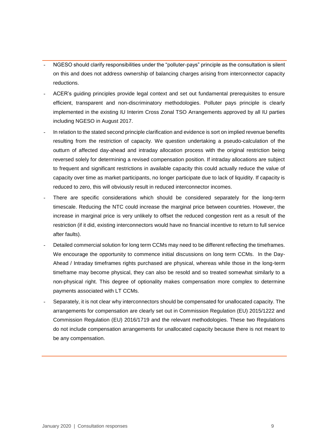- NGESO should clarify responsibilities under the "polluter-pays" principle as the consultation is silent on this and does not address ownership of balancing charges arising from interconnector capacity reductions.
- ACER's guiding principles provide legal context and set out fundamental prerequisites to ensure efficient, transparent and non-discriminatory methodologies. Polluter pays principle is clearly implemented in the existing IU Interim Cross Zonal TSO Arrangements approved by all IU parties including NGESO in August 2017.
- In relation to the stated second principle clarification and evidence is sort on implied revenue benefits resulting from the restriction of capacity. We question undertaking a pseudo-calculation of the outturn of affected day-ahead and intraday allocation process with the original restriction being reversed solely for determining a revised compensation position. If intraday allocations are subject to frequent and significant restrictions in available capacity this could actually reduce the value of capacity over time as market participants, no longer participate due to lack of liquidity. If capacity is reduced to zero, this will obviously result in reduced interconnector incomes.
- There are specific considerations which should be considered separately for the long-term timescale. Reducing the NTC could increase the marginal price between countries. However, the increase in marginal price is very unlikely to offset the reduced congestion rent as a result of the restriction (if it did, existing interconnectors would have no financial incentive to return to full service after faults).
- Detailed commercial solution for long term CCMs may need to be different reflecting the timeframes. We encourage the opportunity to commence initial discussions on long term CCMs. In the Day-Ahead / Intraday timeframes rights purchased are physical, whereas while those in the long-term timeframe may become physical, they can also be resold and so treated somewhat similarly to a non-physical right. This degree of optionality makes compensation more complex to determine payments associated with LT CCMs.
- Separately, it is not clear why interconnectors should be compensated for unallocated capacity. The arrangements for compensation are clearly set out in Commission Regulation (EU) 2015/1222 and Commission Regulation (EU) 2016/1719 and the relevant methodologies. These two Regulations do not include compensation arrangements for unallocated capacity because there is not meant to be any compensation.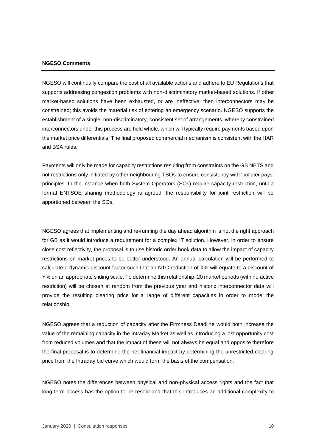#### **NGESO Comments**

NGESO will continually compare the cost of all available actions and adhere to EU Regulations that supports addressing congestion problems with non-discriminatory market-based solutions. If other market-based solutions have been exhausted, or are ineffective, then interconnectors may be constrained; this avoids the material risk of entering an emergency scenario. NGESO supports the establishment of a single, non-discriminatory, consistent set of arrangements, whereby constrained interconnectors under this process are held whole, which will typically require payments based upon the market price differentials. The final proposed commercial mechanism is consistent with the HAR and BSA rules.

Payments will only be made for capacity restrictions resulting from constraints on the GB NETS and not restrictions only initiated by other neighbouring TSOs to ensure consistency with 'polluter pays' principles. In the instance when both System Operators (SOs) require capacity restriction, until a formal ENTSOE sharing methodology is agreed, the responsibility for joint restriction will be apportioned between the SOs.

NGESO agrees that implementing and re-running the day ahead algorithm is not the right approach for GB as it would introduce a requirement for a complex IT solution. However, in order to ensure close cost reflectivity, the proposal is to use historic order book data to allow the impact of capacity restrictions on market prices to be better understood. An annual calculation will be performed to calculate a dynamic discount factor such that an NTC reduction of X% will equate to a discount of Y% on an appropriate sliding scale. To determine this relationship, 20 market periods (with no active restriction) will be chosen at random from the previous year and historic interconnector data will provide the resulting clearing price for a range of different capacities in order to model the relationship.

NGESO agrees that a reduction of capacity after the Firmness Deadline would both increase the value of the remaining capacity in the Intraday Market as well as introducing a lost opportunity cost from reduced volumes and that the impact of these will not always be equal and opposite therefore the final proposal is to determine the net financial impact by determining the unrestricted clearing price from the Intraday bid curve which would form the basis of the compensation.

NGESO notes the differences between physical and non-physical access rights and the fact that long term access has the option to be resold and that this introduces an additional complexity to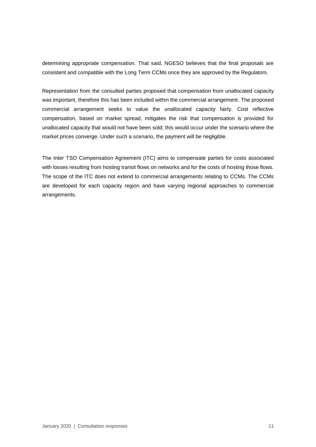determining appropriate compensation. That said, NGESO believes that the final proposals are consistent and compatible with the Long Term CCMs once they are approved by the Regulators.

Representation from the consulted parties proposed that compensation from unallocated capacity was important, therefore this has been included within the commercial arrangement. The proposed commercial arrangement seeks to value the unallocated capacity fairly. Cost reflective compensation, based on market spread, mitigates the risk that compensation is provided for unallocated capacity that would not have been sold; this would occur under the scenario where the market prices converge. Under such a scenario, the payment will be negligible.

The Inter TSO Compensation Agreement (ITC) aims to compensate parties for costs associated with losses resulting from hosting transit flows on networks and for the costs of hosting those flows. The scope of the ITC does not extend to commercial arrangements relating to CCMs. The CCMs are developed for each capacity region and have varying regional approaches to commercial arrangements.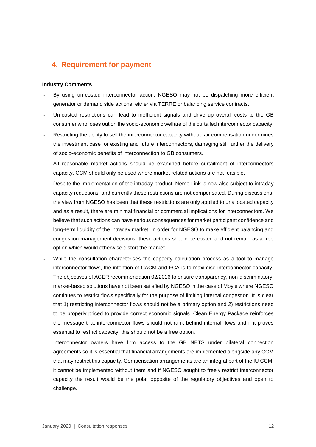## **4. Requirement for payment**

#### **Industry Comments**

- By using un-costed interconnector action, NGESO may not be dispatching more efficient generator or demand side actions, either via TERRE or balancing service contracts.
- Un-costed restrictions can lead to inefficient signals and drive up overall costs to the GB consumer who loses out on the socio-economic welfare of the curtailed interconnector capacity.
- Restricting the ability to sell the interconnector capacity without fair compensation undermines the investment case for existing and future interconnectors, damaging still further the delivery of socio-economic benefits of interconnection to GB consumers.
- All reasonable market actions should be examined before curtailment of interconnectors capacity. CCM should only be used where market related actions are not feasible.
- Despite the implementation of the intraday product, Nemo Link is now also subject to intraday capacity reductions, and currently these restrictions are not compensated. During discussions, the view from NGESO has been that these restrictions are only applied to unallocated capacity and as a result, there are minimal financial or commercial implications for interconnectors. We believe that such actions can have serious consequences for market participant confidence and long-term liquidity of the intraday market. In order for NGESO to make efficient balancing and congestion management decisions, these actions should be costed and not remain as a free option which would otherwise distort the market.
- While the consultation characterises the capacity calculation process as a tool to manage interconnector flows, the intention of CACM and FCA is to maximise interconnector capacity. The objectives of ACER recommendation 02/2016 to ensure transparency, non-discriminatory, market-based solutions have not been satisfied by NGESO in the case of Moyle where NGESO continues to restrict flows specifically for the purpose of limiting internal congestion. It is clear that 1) restricting interconnector flows should not be a primary option and 2) restrictions need to be properly priced to provide correct economic signals. Clean Energy Package reinforces the message that interconnector flows should not rank behind internal flows and if it proves essential to restrict capacity, this should not be a free option.
- Interconnector owners have firm access to the GB NETS under bilateral connection agreements so it is essential that financial arrangements are implemented alongside any CCM that may restrict this capacity. Compensation arrangements are an integral part of the IU CCM, it cannot be implemented without them and if NGESO sought to freely restrict interconnector capacity the result would be the polar opposite of the regulatory objectives and open to challenge.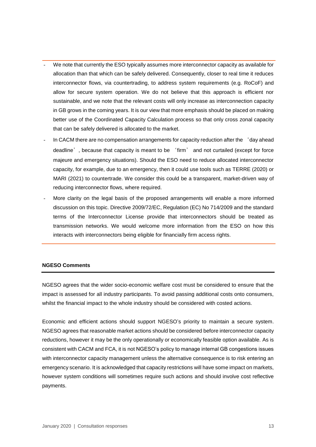- We note that currently the ESO typically assumes more interconnector capacity as available for allocation than that which can be safely delivered. Consequently, closer to real time it reduces interconnector flows, via countertrading, to address system requirements (e.g. RoCoF) and allow for secure system operation. We do not believe that this approach is efficient nor sustainable, and we note that the relevant costs will only increase as interconnection capacity in GB grows in the coming years. It is our view that more emphasis should be placed on making better use of the Coordinated Capacity Calculation process so that only cross zonal capacity that can be safely delivered is allocated to the market.
- In CACM there are no compensation arrangements for capacity reduction after the 'day ahead deadline', because that capacity is meant to be 'firm' and not curtailed (except for force majeure and emergency situations). Should the ESO need to reduce allocated interconnector capacity, for example, due to an emergency, then it could use tools such as TERRE (2020) or MARI (2021) to countertrade. We consider this could be a transparent, market-driven way of reducing interconnector flows, where required.
- More clarity on the legal basis of the proposed arrangements will enable a more informed discussion on this topic. Directive 2009/72/EC, Regulation (EC) No 714/2009 and the standard terms of the Interconnector License provide that interconnectors should be treated as transmission networks. We would welcome more information from the ESO on how this interacts with interconnectors being eligible for financially firm access rights.

#### **NGESO Comments**

NGESO agrees that the wider socio-economic welfare cost must be considered to ensure that the impact is assessed for all industry participants. To avoid passing additional costs onto consumers, whilst the financial impact to the whole industry should be considered with costed actions.

Economic and efficient actions should support NGESO's priority to maintain a secure system. NGESO agrees that reasonable market actions should be considered before interconnector capacity reductions, however it may be the only operationally or economically feasible option available. As is consistent with CACM and FCA, it is not NGESO's policy to manage internal GB congestions issues with interconnector capacity management unless the alternative consequence is to risk entering an emergency scenario. It is acknowledged that capacity restrictions will have some impact on markets, however system conditions will sometimes require such actions and should involve cost reflective payments.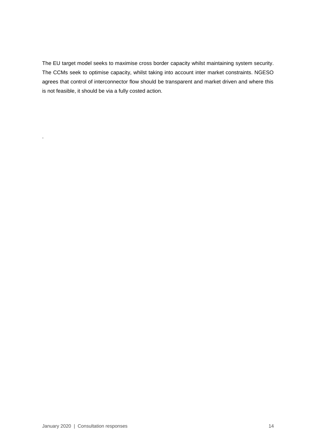The EU target model seeks to maximise cross border capacity whilst maintaining system security. The CCMs seek to optimise capacity, whilst taking into account inter market constraints. NGESO agrees that control of interconnector flow should be transparent and market driven and where this is not feasible, it should be via a fully costed action.

.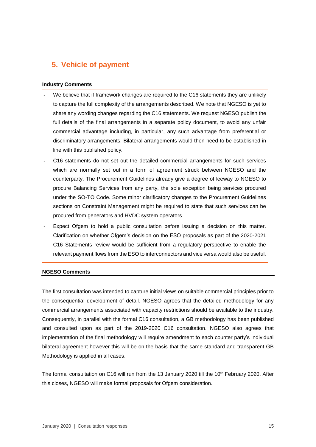## **5. Vehicle of payment**

#### **Industry Comments**

- We believe that if framework changes are required to the C16 statements they are unlikely to capture the full complexity of the arrangements described. We note that NGESO is yet to share any wording changes regarding the C16 statements. We request NGESO publish the full details of the final arrangements in a separate policy document, to avoid any unfair commercial advantage including, in particular, any such advantage from preferential or discriminatory arrangements. Bilateral arrangements would then need to be established in line with this published policy.
- C16 statements do not set out the detailed commercial arrangements for such services which are normally set out in a form of agreement struck between NGESO and the counterparty. The Procurement Guidelines already give a degree of leeway to NGESO to procure Balancing Services from any party, the sole exception being services procured under the SO-TO Code. Some minor clarificatory changes to the Procurement Guidelines sections on Constraint Management might be required to state that such services can be procured from generators and HVDC system operators.
- Expect Ofgem to hold a public consultation before issuing a decision on this matter. Clarification on whether Ofgem's decision on the ESO proposals as part of the 2020-2021 C16 Statements review would be sufficient from a regulatory perspective to enable the relevant payment flows from the ESO to interconnectors and vice versa would also be useful.

#### **NGESO Comments**

The first consultation was intended to capture initial views on suitable commercial principles prior to the consequential development of detail. NGESO agrees that the detailed methodology for any commercial arrangements associated with capacity restrictions should be available to the industry. Consequently, in parallel with the formal C16 consultation, a GB methodology has been published and consulted upon as part of the 2019-2020 C16 consultation. NGESO also agrees that implementation of the final methodology will require amendment to each counter party's individual bilateral agreement however this will be on the basis that the same standard and transparent GB Methodology is applied in all cases.

The formal consultation on C16 will run from the 13 January 2020 till the 10<sup>th</sup> February 2020. After this closes, NGESO will make formal proposals for Ofgem consideration.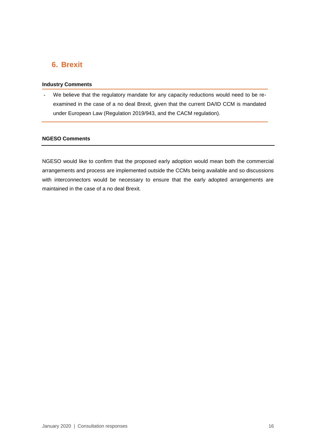### **6. Brexit**

#### **Industry Comments**

We believe that the regulatory mandate for any capacity reductions would need to be reexamined in the case of a no deal Brexit, given that the current DA/ID CCM is mandated under European Law (Regulation 2019/943, and the CACM regulation).

#### **NGESO Comments**

NGESO would like to confirm that the proposed early adoption would mean both the commercial arrangements and process are implemented outside the CCMs being available and so discussions with interconnectors would be necessary to ensure that the early adopted arrangements are maintained in the case of a no deal Brexit.